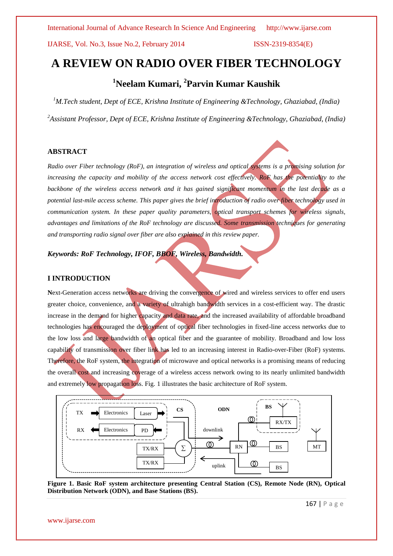# **A REVIEW ON RADIO OVER FIBER TECHNOLOGY**

# **<sup>1</sup>Neelam Kumari, <sup>2</sup> Parvin Kumar Kaushik**

*<sup>1</sup>M.Tech student, Dept of ECE, Krishna Institute of Engineering &Technology, Ghaziabad, (India) <sup>2</sup>Assistant Professor, Dept of ECE, Krishna Institute of Engineering &Technology, Ghaziabad, (India)*

# **ABSTRACT**

*Radio over Fiber technology (RoF), an integration of wireless and optical systems is a promising solution for increasing the capacity and mobility of the access network cost effectively. RoF has the potentiality to the backbone of the wireless access network and it has gained significant momentum in the last decade as a potential last-mile access scheme. This paper gives the brief introduction of radio over fiber technology used in communication system. In these paper quality parameters, optical transport schemes for wireless signals, advantages and limitations of the RoF technology are discussed. Some transmission techniques for generating and transporting radio signal over fiber are also explained in this review paper.*

*Keywords: RoF Technology, IFOF, BBOF, Wireless, Bandwidth.*

# **I INTRODUCTION**

Next-Generation access networks are driving the convergence of wired and wireless services to offer end users greater choice, convenience, and a variety of ultrahigh bandwidth services in a cost-efficient way. The drastic increase in the demand for higher capacity and data rate, and the increased availability of affordable broadband technologies has encouraged the deployment of optical fiber technologies in fixed-line access networks due to the low loss and large bandwidth of an optical fiber and the guarantee of mobility. Broadband and low loss capability of transmission over fiber link has led to an increasing interest in Radio-over-Fiber (RoF) systems. Therefore, the RoF system, the integration of microwave and optical networks is a promising means of reducing the overall cost and increasing coverage of a wireless access network owing to its nearly unlimited bandwidth and extremely low propagation loss. Fig. 1 illustrates the basic architecture of RoF system.



**Figure 1. Basic RoF system architecture presenting Central Station (CS), Remote Node (RN), Optical Distribution Network (ODN), and Base Stations (BS).**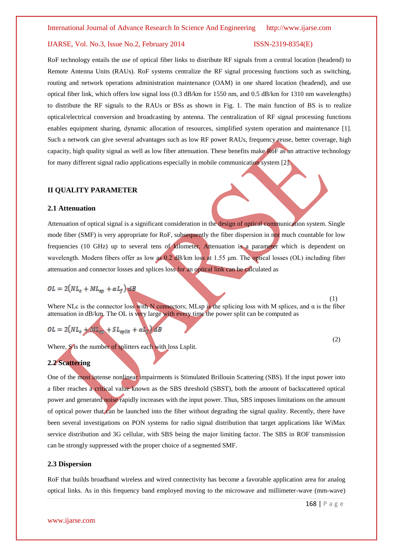RoF technology entails the use of optical fiber links to distribute RF signals from a central location (headend) to Remote Antenna Units (RAUs). RoF systems centralize the RF signal processing functions such as switching, routing and network operations administration maintenance (OAM) in one shared location (headend), and use optical fiber link, which offers low signal loss (0.3 dB/km for 1550 nm, and 0.5 dB/km for 1310 nm wavelengths) to distribute the RF signals to the RAUs or BSs as shown in Fig. 1. The main function of BS is to realize optical/electrical conversion and broadcasting by antenna. The centralization of RF signal processing functions enables equipment sharing, dynamic allocation of resources, simplified system operation and maintenance [1]. Such a network can give several advantages such as low RF power RAUs, frequency reuse, better coverage, high capacity, high quality signal as well as low fiber attenuation. These benefits make RoF as an attractive technology for many different signal radio applications especially in mobile communication system [2].

## **II QUALITY PARAMETER**

#### **2.1 Attenuation**

Attenuation of optical signal is a significant consideration in the design of optical communication system. Single mode fiber (SMF) is very appropriate for RoF, subsequently the fiber dispersion in not much countable for low frequencies (10 GHz) up to several tens of kilometer. Attenuation is a parameter which is dependent on wavelength. Modern fibers offer as low as 0.2 dB/km loss at 1.55 μm. The optical losses (OL) including fiber attenuation and connector losses and splices loss for an optical link can be calculated as

# $OL = 2(NL_c + ML_{sp} + \alpha L_f)$  and B

Where NLc is the connector loss with N connectors; MLsp is the splicing loss with M splices, and  $\alpha$  is the fiber attenuation in dB/km. The OL is very large with every time the power split can be computed as

$$
OL = 2(NL_c + ML_{\text{sol}} + SL_{\text{split}} + \alpha L_c) dB
$$

Where, S<sup>is</sup> the number of splitters each with loss Lsplit.

# **2.2 Scattering**

One of the most intense nonlinear impairments is Stimulated Brillouin Scattering (SBS). If the input power into a fiber reaches a critical value known as the SBS threshold (SBST), both the amount of backscattered optical power and generated noise rapidly increases with the input power. Thus, SBS imposes limitations on the amount of optical power that can be launched into the fiber without degrading the signal quality. Recently, there have been several investigations on PON systems for radio signal distribution that target applications like WiMax service distribution and 3G cellular, with SBS being the major limiting factor. The SBS in ROF transmission can be strongly suppressed with the proper choice of a segmented SMF.

#### **2.3 Dispersion**

RoF that builds broadband wireless and wired connectivity has become a favorable application area for analog optical links. As in this frequency band employed moving to the microwave and millimeter-wave (mm-wave)

(1)

(2)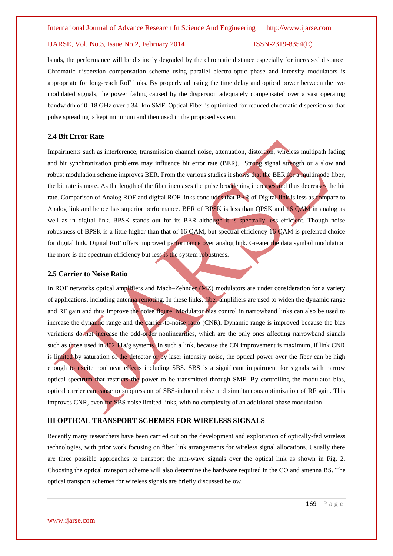bands, the performance will be distinctly degraded by the chromatic distance especially for increased distance. Chromatic dispersion compensation scheme using parallel electro-optic phase and intensity modulators is appropriate for long-reach RoF links. By properly adjusting the time delay and optical power between the two modulated signals, the power fading caused by the dispersion adequately compensated over a vast operating bandwidth of 0–18 GHz over a 34- km SMF. Optical Fiber is optimized for reduced chromatic dispersion so that pulse spreading is kept minimum and then used in the proposed system.

### **2.4 Bit Error Rate**

Impairments such as interference, transmission channel noise, attenuation, distortion, wireless multipath fading and bit synchronization problems may influence bit error rate (BER). Strong signal strength or a slow and robust modulation scheme improves BER. From the various studies it shows that the BER for a multimode fiber, the bit rate is more. As the length of the fiber increases the pulse broadening increases and thus decreases the bit rate. Comparison of Analog ROF and digital ROF links concludes that BER of Digital link is less as compare to Analog link and hence has superior performance. BER of BPSK is less than QPSK and 16 QAM in analog as well as in digital link. BPSK stands out for its BER although it is spectrally less efficient. Though noise robustness of BPSK is a little higher than that of 16 QAM, but spectral efficiency 16 QAM is preferred choice for digital link. Digital RoF offers improved performance over analog link. Greater the data symbol modulation the more is the spectrum efficiency but less is the system robustness.

### **2.5 Carrier to Noise Ratio**

In ROF networks optical amplifiers and Mach–Zehnder (MZ) modulators are under consideration for a variety of applications, including antenna remoting. In these links, fiber amplifiers are used to widen the dynamic range and RF gain and thus improve the noise figure. Modulator bias control in narrowband links can also be used to increase the dynamic range and the carrier-to-noise ratio (CNR). Dynamic range is improved because the bias variations do not increase the odd-order nonlinearities, which are the only ones affecting narrowband signals such as those used in 802.11a/g systems. In such a link, because the CN improvement is maximum, if link CNR is limited by saturation of the detector or by laser intensity noise, the optical power over the fiber can be high enough to excite nonlinear effects including SBS. SBS is a significant impairment for signals with narrow optical spectrum that restricts the power to be transmitted through SMF. By controlling the modulator bias, optical carrier can cause to suppression of SBS-induced noise and simultaneous optimization of RF gain. This improves CNR, even for SBS noise limited links, with no complexity of an additional phase modulation.

### **III OPTICAL TRANSPORT SCHEMES FOR WIRELESS SIGNALS**

Recently many researchers have been carried out on the development and exploitation of optically-fed wireless technologies, with prior work focusing on fiber link arrangements for wireless signal allocations. Usually there are three possible approaches to transport the mm-wave signals over the optical link as shown in Fig. 2. Choosing the optical transport scheme will also determine the hardware required in the CO and antenna BS. The optical transport schemes for wireless signals are briefly discussed below.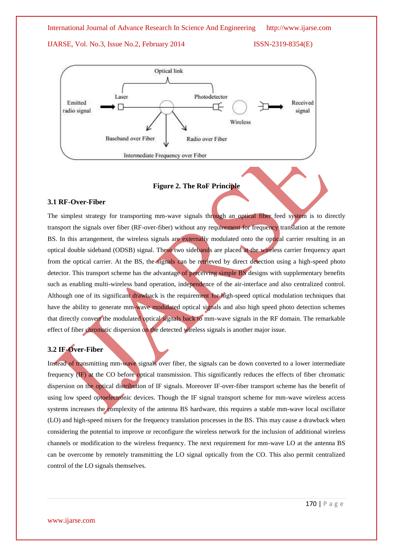



# **Figure 2. The RoF Principle**

# **3.1 RF-Over-Fiber**

The simplest strategy for transporting mm-wave signals through an optical fiber feed system is to directly transport the signals over fiber (RF-over-fiber) without any requirement for frequency translation at the remote BS. In this arrangement, the wireless signals are externally modulated onto the optical carrier resulting in an optical double sideband (ODSB) signal. These two sidebands are placed at the wireless carrier frequency apart from the optical carrier. At the BS, the signals can be retrieved by direct detection using a high-speed photo detector. This transport scheme has the advantage of perceiving simple BS designs with supplementary benefits such as enabling multi-wireless band operation, independence of the air-interface and also centralized control. Although one of its significant drawback is the requirement for high-speed optical modulation techniques that have the ability to generate mm-wave modulated optical signals and also high speed photo detection schemes that directly convert the modulated optical signals back to mm-wave signals in the RF domain. The remarkable effect of fiber chromatic dispersion on the detected wireless signals is another major issue.

# **3.2 IF-Over-Fiber**

Instead of transmitting mm-wave signals over fiber, the signals can be down converted to a lower intermediate frequency (IF) at the CO before optical transmission. This significantly reduces the effects of fiber chromatic dispersion on the optical distribution of IF signals. Moreover IF-over-fiber transport scheme has the benefit of using low speed optoelectronic devices. Though the IF signal transport scheme for mm-wave wireless access systems increases the complexity of the antenna BS hardware, this requires a stable mm-wave local oscillator (LO) and high-speed mixers for the frequency translation processes in the BS. This may cause a drawback when considering the potential to improve or reconfigure the wireless network for the inclusion of additional wireless channels or modification to the wireless frequency. The next requirement for mm-wave LO at the antenna BS can be overcome by remotely transmitting the LO signal optically from the CO. This also permit centralized control of the LO signals themselves.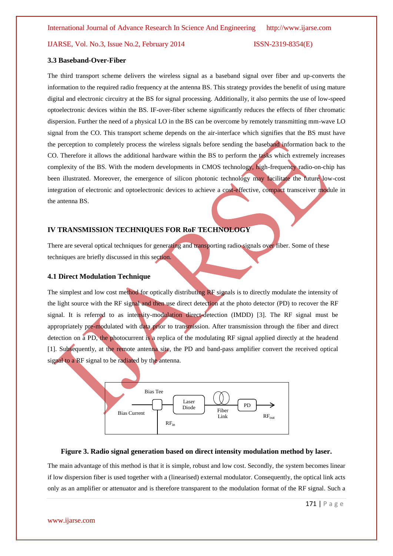# **3.3 Baseband-Over-Fiber**

The third transport scheme delivers the wireless signal as a baseband signal over fiber and up-converts the information to the required radio frequency at the antenna BS. This strategy provides the benefit of using mature digital and electronic circuitry at the BS for signal processing. Additionally, it also permits the use of low-speed optoelectronic devices within the BS. IF-over-fiber scheme significantly reduces the effects of fiber chromatic dispersion. Further the need of a physical LO in the BS can be overcome by remotely transmitting mm-wave LO signal from the CO. This transport scheme depends on the air-interface which signifies that the BS must have the perception to completely process the wireless signals before sending the baseband information back to the CO. Therefore it allows the additional hardware within the BS to perform the tasks which extremely increases complexity of the BS. With the modern developments in CMOS technology, high-frequency radio-on-chip has been illustrated. Moreover, the emergence of silicon photonic technology may facilitate the future low-cost integration of electronic and optoelectronic devices to achieve a cost-effective, compact transceiver module in the antenna BS.

# **IV TRANSMISSION TECHNIQUES FOR RoF TECHNOLOGY**

There are several optical techniques for generating and transporting radio signals over fiber. Some of these techniques are briefly discussed in this section.

# **4.1 Direct Modulation Technique**

The simplest and low cost method for optically distributing RF signals is to directly modulate the intensity of the light source with the RF signal and then use direct detection at the photo detector (PD) to recover the RF signal. It is referred to as intensity-modulation direct-detection (IMDD) [3]. The RF signal must be appropriately pre-modulated with data prior to transmission. After transmission through the fiber and direct detection on a PD, the photocurrent is a replica of the modulating RF signal applied directly at the headend [1]. Subsequently, at the remote antenna site, the PD and band-pass amplifier convert the received optical signal to a RF signal to be radiated by the antenna.



# **Figure 3. Radio signal generation based on direct intensity modulation method by laser.**

The main advantage of this method is that it is simple, robust and low cost. Secondly, the system becomes linear if low dispersion fiber is used together with a (linearised) external modulator. Consequently, the optical link acts only as an amplifier or attenuator and is therefore transparent to the modulation format of the RF signal. Such a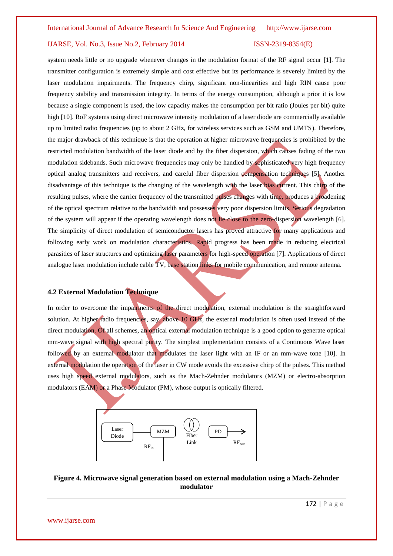system needs little or no upgrade whenever changes in the modulation format of the RF signal occur [1]. The transmitter configuration is extremely simple and cost effective but its performance is severely limited by the laser modulation impairments. The frequency chirp, significant non-linearities and high RIN cause poor frequency stability and transmission integrity. In terms of the energy consumption, although a prior it is low because a single component is used, the low capacity makes the consumption per bit ratio (Joules per bit) quite high [10]. RoF systems using direct microwave intensity modulation of a laser diode are commercially available up to limited radio frequencies (up to about 2 GHz, for wireless services such as GSM and UMTS). Therefore, the major drawback of this technique is that the operation at higher microwave frequencies is prohibited by the restricted modulation bandwidth of the laser diode and by the fiber dispersion, which causes fading of the two modulation sidebands. Such microwave frequencies may only be handled by sophisticated very high frequency optical analog transmitters and receivers, and careful fiber dispersion compensation techniques [5]. Another disadvantage of this technique is the changing of the wavelength with the laser bias current. This chirp of the resulting pulses, where the carrier frequency of the transmitted pulses changes with time, produces a broadening of the optical spectrum relative to the bandwidth and possesses very poor dispersion limits. Serious degradation of the system will appear if the operating wavelength does not lie close to the zero-dispersion wavelength [6]. The simplicity of direct modulation of semiconductor lasers has proved attractive for many applications and following early work on modulation characteristics. Rapid progress has been made in reducing electrical parasitics of laser structures and optimizing laser parameters for high-speed operation [7]. Applications of direct analogue laser modulation include cable TV, base station links for mobile communication, and remote antenna.

# **4.2 External Modulation Technique**

In order to overcome the impairments of the direct modulation, external modulation is the straightforward solution. At higher radio frequencies, say, above 10 GHz, the external modulation is often used instead of the direct modulation. Of all schemes, an optical external modulation technique is a good option to generate optical mm-wave signal with high spectral purity. The simplest implementation consists of a Continuous Wave laser followed by an external modulator that modulates the laser light with an IF or an mm-wave tone [10]. In external modulation the operation of the laser in CW mode avoids the excessive chirp of the pulses. This method uses high speed external modulators, such as the Mach-Zehnder modulators (MZM) or electro-absorption modulators (EAM) or a Phase Modulator (PM), whose output is optically filtered.



# **Figure 4. Microwave signal generation based on external modulation using a Mach-Zehnder modulator**

www.ijarse.com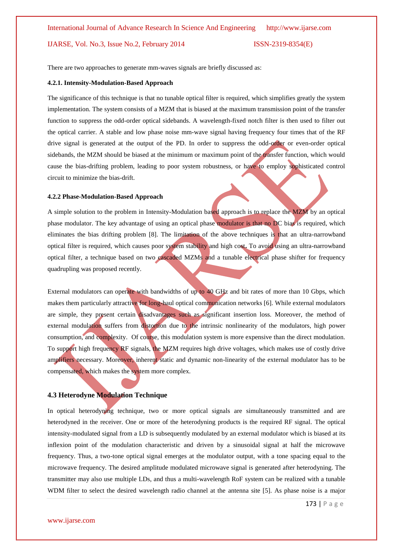There are two approaches to generate mm-waves signals are briefly discussed as:

# **4.2.1. Intensity-Modulation-Based Approach**

The significance of this technique is that no tunable optical filter is required, which simplifies greatly the system implementation. The system consists of a MZM that is biased at the maximum transmission point of the transfer function to suppress the odd-order optical sidebands. A wavelength-fixed notch filter is then used to filter out the optical carrier. A stable and low phase noise mm-wave signal having frequency four times that of the RF drive signal is generated at the output of the PD. In order to suppress the odd-order or even-order optical sidebands, the MZM should be biased at the minimum or maximum point of the transfer function, which would cause the bias-drifting problem, leading to poor system robustness, or have to employ sophisticated control circuit to minimize the bias-drift.

#### **4.2.2 Phase-Modulation-Based Approach**

A simple solution to the problem in Intensity-Modulation based approach is to replace the MZM by an optical phase modulator. The key advantage of using an optical phase modulator is that no DC bias is required, which eliminates the bias drifting problem [8]. The limitation of the above techniques is that an ultra-narrowband optical filter is required, which causes poor system stability and high cost**.** To avoid using an ultra-narrowband optical filter, a technique based on two cascaded MZMs and a tunable electrical phase shifter for frequency quadrupling was proposed recently.

External modulators can operate with bandwidths of up to 40 GHz and bit rates of more than 10 Gbps, which makes them particularly attractive for long-haul optical communication networks [6]. While external modulators are simple, they present certain disadvantages such as significant insertion loss. Moreover, the method of external modulation suffers from distortion due to the intrinsic nonlinearity of the modulators, high power consumption, and complexity. Of course, this modulation system is more expensive than the direct modulation. To support high frequency RF signals, the MZM requires high drive voltages, which makes use of costly drive amplifiers necessary. Moreover, inherent static and dynamic non-linearity of the external modulator has to be compensated, which makes the system more complex.

# **4.3 Heterodyne Modulation Technique**

In optical heterodyning technique, two or more optical signals are simultaneously transmitted and are heterodyned in the receiver. One or more of the heterodyning products is the required RF signal. The optical intensity-modulated signal from a LD is subsequently modulated by an external modulator which is biased at its inflexion point of the modulation characteristic and driven by a sinusoidal signal at half the microwave frequency. Thus, a two-tone optical signal emerges at the modulator output, with a tone spacing equal to the microwave frequency. The desired amplitude modulated microwave signal is generated after heterodyning. The transmitter may also use multiple LDs, and thus a multi-wavelength RoF system can be realized with a tunable WDM filter to select the desired wavelength radio channel at the antenna site [5]. As phase noise is a major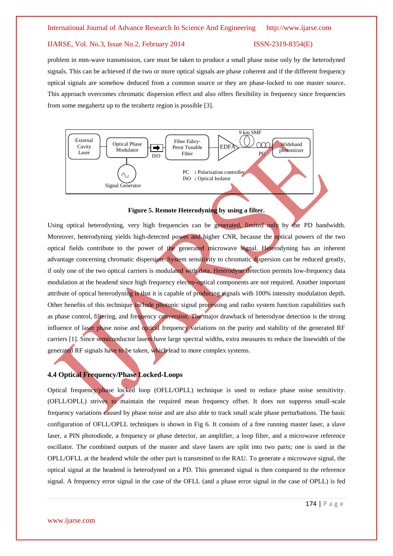problem in mm-wave transmission, care must be taken to produce a small phase noise only by the heterodyned signals. This can be achieved if the two or more optical signals are phase coherent and if the different frequency optical signals are somehow deduced from a common source or they are phase-locked to one master source. This approach overcomes chromatic dispersion effect and also offers flexibility in frequency since frequencies from some megahertz up to the terahertz region is possible [3].



**Figure 5. Remote Heterodyning by using a filter.**

Using optical heterodyning, very high frequencies can be generated, limited only by the PD bandwidth. Moreover, heterodyning yields high-detected power and higher CNR, because the optical powers of the two optical fields contribute to the power of the generated microwave signal. Heterodyning has an inherent advantage concerning chromatic dispersion. System sensitivity to chromatic dispersion can be reduced greatly, if only one of the two optical carriers is modulated with data. Heterodyne detection permits low-frequency data modulation at the headend since high frequency electro-optical components are not required. Another important attribute of optical heterodyning is that it is capable of producing signals with 100% intensity modulation depth. Other benefits of this technique include photonic signal processing and radio system function capabilities such as phase control, filtering, and frequency conversion. The major drawback of heterodyne detection is the strong influence of laser phase noise and optical frequency variations on the purity and stability of the generated RF carriers [1]. Since semiconductor lasers have large spectral widths, extra measures to reduce the linewidth of the generated RF signals have to be taken, which lead to more complex systems.

# **4.4 Optical Frequency/Phase Locked-Loops**

Optical frequency/phase locked loop (OFLL/OPLL) technique is used to reduce phase noise sensitivity. (OFLL/OPLL) strives to maintain the required mean frequency offset. It does not suppress small-scale frequency variations caused by phase noise and are also able to track small scale phase perturbations. The basic configuration of OFLL/OPLL techniques is shown in Fig 6. It consists of a free running master laser, a slave laser, a PIN photodiode, a frequency or phase detector, an amplifier, a loop filter, and a microwave reference oscillator. The combined outputs of the master and slave lasers are split into two parts; one is used in the OPLL/OFLL at the headend while the other part is transmitted to the RAU. To generate a microwave signal, the optical signal at the headend is heterodyned on a PD. This generated signal is then compared to the reference signal. A frequency error signal in the case of the OFLL (and a phase error signal in the case of OPLL) is fed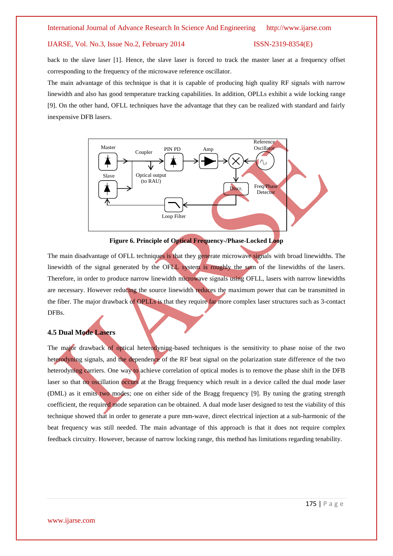back to the slave laser [1]. Hence, the slave laser is forced to track the master laser at a frequency offset corresponding to the frequency of the microwave reference oscillator.

The main advantage of this technique is that it is capable of producing high quality RF signals with narrow linewidth and also has good temperature tracking capabilities. In addition, OPLLs exhibit a wide locking range [9]. On the other hand, OFLL techniques have the advantage that they can be realized with standard and fairly inexpensive DFB lasers.





The main disadvantage of OFLL techniques is that they generate microwave signals with broad linewidths. The linewidth of the signal generated by the OFLL system is roughly the sum of the linewidths of the lasers. Therefore, in order to produce narrow linewidth microwave signals using OFLL, lasers with narrow linewidths are necessary. However reducing the source linewidth reduces the maximum power that can be transmitted in the fiber. The major drawback of OPLLs is that they require far more complex laser structures such as 3-contact DFBs.

# **4.5 Dual Mode Lasers**

The major drawback of optical heterodyning-based techniques is the sensitivity to phase noise of the two heterodyning signals, and the dependence of the RF beat signal on the polarization state difference of the two heterodyning carriers. One way to achieve correlation of optical modes is to remove the phase shift in the DFB laser so that no oscillation occurs at the Bragg frequency which result in a device called the dual mode laser (DML) as it emits two modes; one on either side of the Bragg frequency [9]. By tuning the grating strength coefficient, the required mode separation can be obtained. A dual mode laser designed to test the viability of this technique showed that in order to generate a pure mm-wave, direct electrical injection at a sub-harmonic of the beat frequency was still needed. The main advantage of this approach is that it does not require complex feedback circuitry. However, because of narrow locking range, this method has limitations regarding tenability.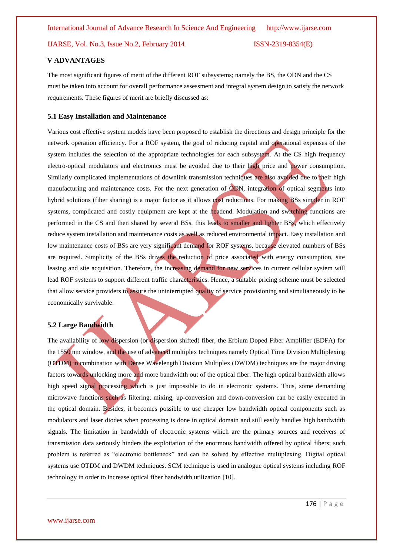# **V ADVANTAGES**

The most significant figures of merit of the different ROF subsystems; namely the BS, the ODN and the CS must be taken into account for overall performance assessment and integral system design to satisfy the network requirements. These figures of merit are briefly discussed as:

# **5.1 Easy Installation and Maintenance**

Various cost effective system models have been proposed to establish the directions and design principle for the network operation efficiency. For a ROF system, the goal of reducing capital and operational expenses of the system includes the selection of the appropriate technologies for each subsystem. At the CS high frequency electro-optical modulators and electronics must be avoided due to their high price and power consumption. Similarly complicated implementations of downlink transmission techniques are also avoided due to their high manufacturing and maintenance costs. For the next generation of ODN, integration of optical segments into hybrid solutions (fiber sharing) is a major factor as it allows cost reductions. For making BSs simpler in ROF systems, complicated and costly equipment are kept at the headend. Modulation and switching functions are performed in the CS and then shared by several BSs, this leads to smaller and lighter BSs, which effectively reduce system installation and maintenance costs as well as reduced environmental impact. Easy installation and low maintenance costs of BSs are very significant demand for ROF systems, because elevated numbers of BSs are required. Simplicity of the BSs drives the reduction of price associated with energy consumption, site leasing and site acquisition. Therefore, the increasing demand for new services in current cellular system will lead ROF systems to support different traffic characteristics. Hence, a suitable pricing scheme must be selected that allow service providers to assure the uninterrupted quality of service provisioning and simultaneously to be economically survivable.

# **5.2 Large Bandwidth**

The availability of low dispersion (or dispersion shifted) fiber, the Erbium Doped Fiber Amplifier (EDFA) for the 1550 nm window, and the use of advanced multiplex techniques namely Optical Time Division Multiplexing (OTDM) in combination with Dense Wavelength Division Multiplex (DWDM) techniques are the major driving factors towards unlocking more and more bandwidth out of the optical fiber. The high optical bandwidth allows high speed signal processing which is just impossible to do in electronic systems. Thus, some demanding microwave functions such as filtering, mixing, up-conversion and down-conversion can be easily executed in the optical domain. Besides, it becomes possible to use cheaper low bandwidth optical components such as modulators and laser diodes when processing is done in optical domain and still easily handles high bandwidth signals. The limitation in bandwidth of electronic systems which are the primary sources and receivers of transmission data seriously hinders the exploitation of the enormous bandwidth offered by optical fibers; such problem is referred as "electronic bottleneck" and can be solved by effective multiplexing. Digital optical systems use OTDM and DWDM techniques. SCM technique is used in analogue optical systems including ROF technology in order to increase optical fiber bandwidth utilization [10].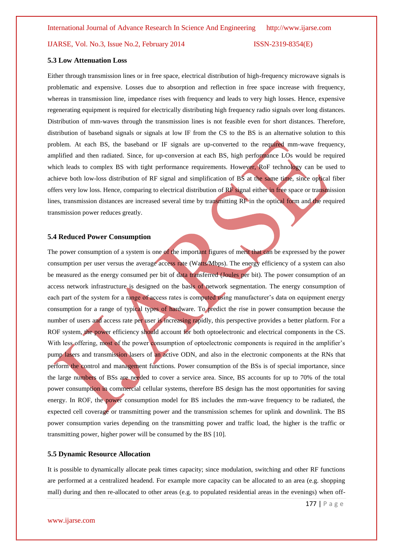### **5.3 Low Attenuation Loss**

Either through transmission lines or in free space, electrical distribution of high-frequency microwave signals is problematic and expensive. Losses due to absorption and reflection in free space increase with frequency, whereas in transmission line, impedance rises with frequency and leads to very high losses. Hence, expensive regenerating equipment is required for electrically distributing high frequency radio signals over long distances. Distribution of mm-waves through the transmission lines is not feasible even for short distances. Therefore, distribution of baseband signals or signals at low IF from the CS to the BS is an alternative solution to this problem. At each BS, the baseband or IF signals are up-converted to the required mm-wave frequency, amplified and then radiated. Since, for up-conversion at each BS, high performance LOs would be required which leads to complex BS with tight performance requirements. However, RoF technology can be used to achieve both low-loss distribution of RF signal and simplification of BS at the same time, since optical fiber offers very low loss. Hence, comparing to electrical distribution of RF signal either in free space or transmission lines, transmission distances are increased several time by transmitting RF in the optical form and the required transmission power reduces greatly.

## **5.4 Reduced Power Consumption**

The power consumption of a system is one of the important figures of merit that can be expressed by the power consumption per user versus the average access rate (Watts/Mbps). The energy efficiency of a system can also be measured as the energy consumed per bit of data transferred (Joules per bit). The power consumption of an access network infrastructure is designed on the basis of network segmentation. The energy consumption of each part of the system for a range of access rates is computed using manufacturer's data on equipment energy consumption for a range of typical types of hardware. To predict the rise in power consumption because the number of users and access rate per user is increasing rapidly, this perspective provides a better platform. For a ROF system, the power efficiency should account for both optoelectronic and electrical components in the CS. With less offering, most of the power consumption of optoelectronic components is required in the amplifier's pump lasers and transmission lasers of an active ODN, and also in the electronic components at the RNs that perform the control and management functions. Power consumption of the BSs is of special importance, since the large numbers of BSs are needed to cover a service area. Since, BS accounts for up to 70% of the total power consumption in commercial cellular systems, therefore BS design has the most opportunities for saving energy. In ROF, the power consumption model for BS includes the mm-wave frequency to be radiated, the expected cell coverage or transmitting power and the transmission schemes for uplink and downlink. The BS power consumption varies depending on the transmitting power and traffic load, the higher is the traffic or transmitting power, higher power will be consumed by the BS [10].

# **5.5 Dynamic Resource Allocation**

It is possible to dynamically allocate peak times capacity; since modulation, switching and other RF functions are performed at a centralized headend. For example more capacity can be allocated to an area (e.g. shopping mall) during and then re-allocated to other areas (e.g. to populated residential areas in the evenings) when off-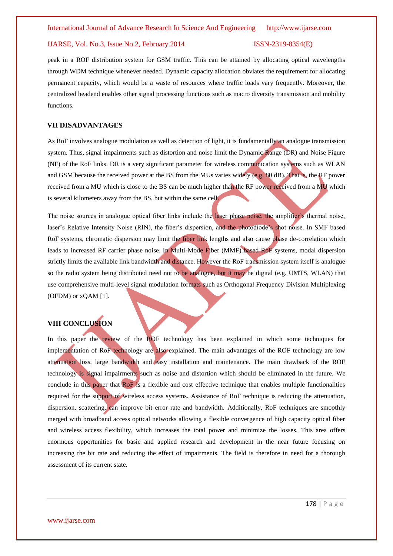peak in a ROF distribution system for GSM traffic. This can be attained by allocating optical wavelengths through WDM technique whenever needed. Dynamic capacity allocation obviates the requirement for allocating permanent capacity, which would be a waste of resources where traffic loads vary frequently. Moreover, the centralized headend enables other signal processing functions such as macro diversity transmission and mobility functions.

# **VII DISADVANTAGES**

As RoF involves analogue modulation as well as detection of light, it is fundamentally an analogue transmission system. Thus, signal impairments such as distortion and noise limit the Dynamic Range (DR) and Noise Figure (NF) of the RoF links. DR is a very significant parameter for wireless communication systems such as WLAN and GSM because the received power at the BS from the MUs varies widely (e.g. 80 dB). That is, the RF power received from a MU which is close to the BS can be much higher than the RF power received from a MU which is several kilometers away from the BS, but within the same cell.

The noise sources in analogue optical fiber links include the laser phase noise, the amplifier's thermal noise, laser's Relative Intensity Noise (RIN), the fiber's dispersion, and the photodiode's shot noise. In SMF based RoF systems, chromatic dispersion may limit the fiber link lengths and also cause phase de-correlation which leads to increased RF carrier phase noise. In Multi-Mode Fiber (MMF) based RoF systems, modal dispersion strictly limits the available link bandwidth and distance. However the RoF transmission system itself is analogue so the radio system being distributed need not to be analogue, but it may be digital (e.g. UMTS, WLAN) that use comprehensive multi-level signal modulation formats such as Orthogonal Frequency Division Multiplexing (OFDM) or xQAM [1].

# **VIII CONCLUSION**

In this paper the review of the ROF technology has been explained in which some techniques for implementation of RoF technology are also explained. The main advantages of the ROF technology are low attenuation loss, large bandwidth and easy installation and maintenance. The main drawback of the ROF technology is signal impairments such as noise and distortion which should be eliminated in the future. We conclude in this paper that RoF is a flexible and cost effective technique that enables multiple functionalities required for the support of wireless access systems. Assistance of RoF technique is reducing the attenuation, dispersion, scattering, can improve bit error rate and bandwidth. Additionally, RoF techniques are smoothly merged with broadband access optical networks allowing a flexible convergence of high capacity optical fiber and wireless access flexibility, which increases the total power and minimize the losses. This area offers enormous opportunities for basic and applied research and development in the near future focusing on increasing the bit rate and reducing the effect of impairments. The field is therefore in need for a thorough assessment of its current state.